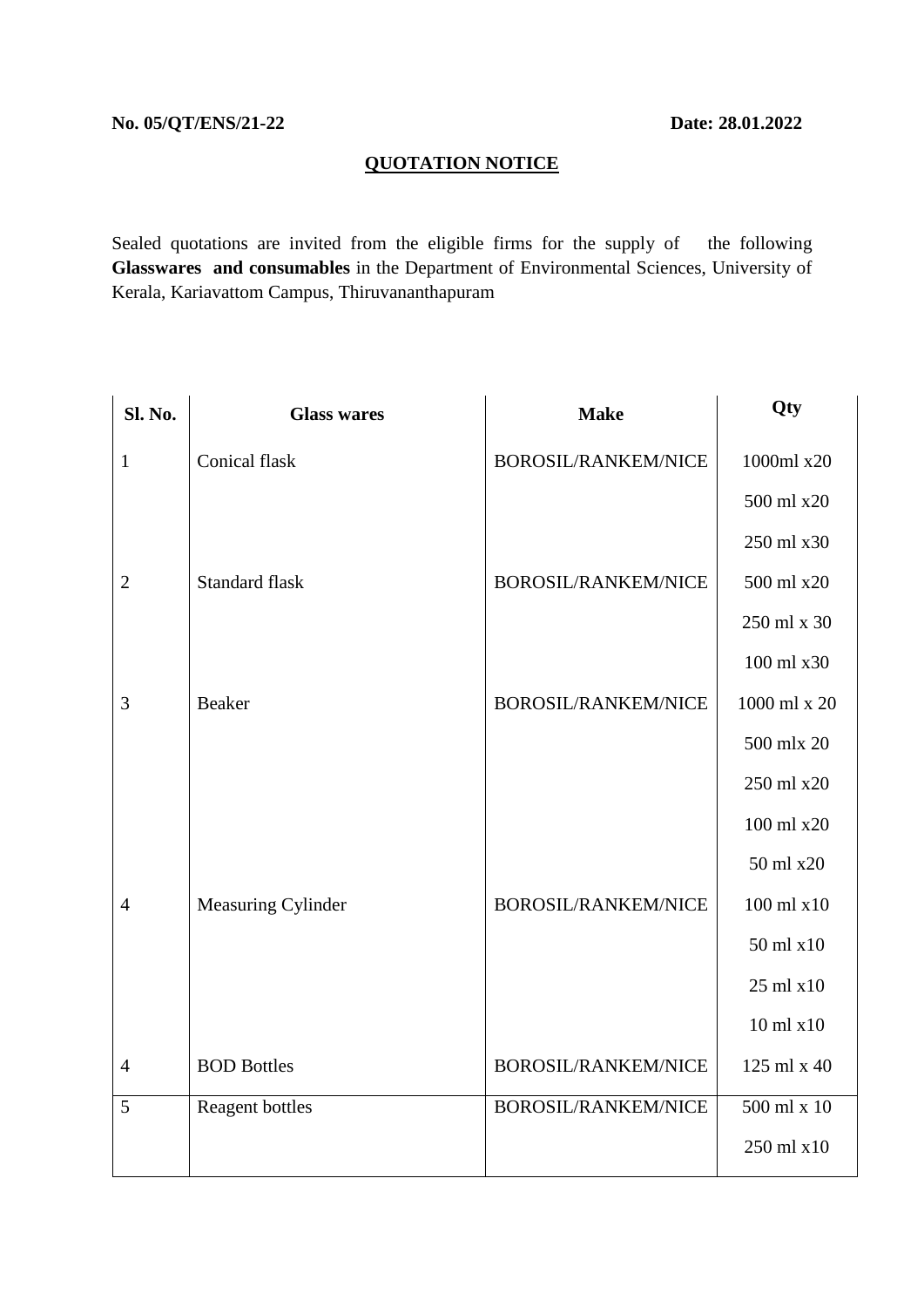## **QUOTATION NOTICE**

Sealed quotations are invited from the eligible firms for the supply of the following **Glasswares and consumables** in the Department of Environmental Sciences, University of Kerala, Kariavattom Campus, Thiruvananthapuram

| Sl. No.        | <b>Glass wares</b>    | <b>Make</b>                | Qty           |
|----------------|-----------------------|----------------------------|---------------|
| $\mathbf{1}$   | Conical flask         | BOROSIL/RANKEM/NICE        | 1000ml x20    |
|                |                       |                            | 500 ml x20    |
|                |                       |                            | 250 ml x30    |
| $\overline{2}$ | <b>Standard flask</b> | <b>BOROSIL/RANKEM/NICE</b> | 500 ml x20    |
|                |                       |                            | 250 ml x 30   |
|                |                       |                            | 100 ml x30    |
| 3              | Beaker                | <b>BOROSIL/RANKEM/NICE</b> | 1000 ml x 20  |
|                |                       |                            | 500 mlx 20    |
|                |                       |                            | 250 ml x20    |
|                |                       |                            | 100 ml x20    |
|                |                       |                            | 50 ml x20     |
| $\overline{4}$ | Measuring Cylinder    | <b>BOROSIL/RANKEM/NICE</b> | 100 ml x10    |
|                |                       |                            | 50 ml x10     |
|                |                       |                            | 25 ml x10     |
|                |                       |                            | $10$ ml $x10$ |
| $\overline{4}$ | <b>BOD Bottles</b>    | <b>BOROSIL/RANKEM/NICE</b> | 125 ml x 40   |
| 5              | Reagent bottles       | <b>BOROSIL/RANKEM/NICE</b> | 500 ml x 10   |
|                |                       |                            | 250 ml x10    |